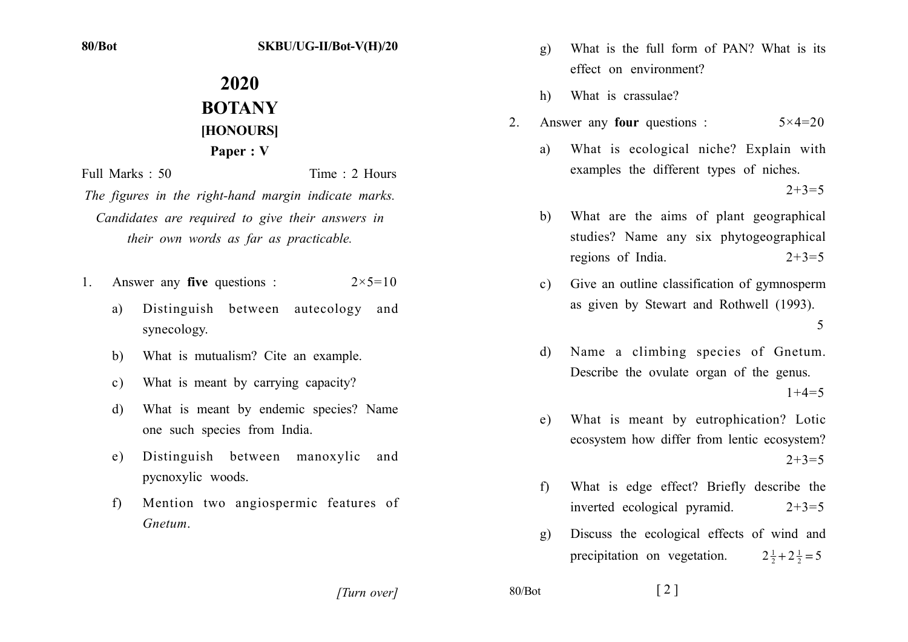## SKBU/UG-II/Bot-V(H)/20

## 2020 **BOTANY HONOURSI** Paper: V

Time: 2 Hours Full Marks: 50

The figures in the right-hand margin indicate marks. Candidates are required to give their answers in their own words as far as practicable.

- Answer any **five** questions :  $2 \times 5 = 10$  $1$ 
	- Distinguish between autecology and a) synecology.
	- What is mutualism? Cite an example.  $h$
	- What is meant by carrying capacity?  $c)$
	- What is meant by endemic species? Name d) one such species from India.
	- Distinguish between manoxylic and  $e)$ pycnoxylic woods.
	- Mention two angiospermic features of  $f$ Gnetum
- What is the full form of PAN? What is its  $g)$ effect on environment?
- $h)$ What is crassulae?
- Answer any **four** questions :  $5 \times 4 = 20$  $2^{\circ}$ 
	- What is ecological niche? Explain with  $\mathbf{a}$ examples the different types of niches.  $2+3=5$
	- What are the aims of plant geographical  $h)$ studies? Name any six phytogeographical regions of India.  $2+3=5$
	- Give an outline classification of gymnosperm  $c)$ as given by Stewart and Rothwell (1993). 5
	- Name a climbing species of Gnetum. d) Describe the ovulate organ of the genus.  $1+4=5$
	- What is meant by eutrophication? Lotic e) ecosystem how differ from lentic ecosystem?  $2+3=5$
	- What is edge effect? Briefly describe the  $f$ inverted ecological pyramid.  $2+3=5$
	- Discuss the ecological effects of wind and  $\alpha$ ) precipitation on vegetation.  $2\frac{1}{2}+2\frac{1}{2}=5$

[Turn over]

 $80/Bot$